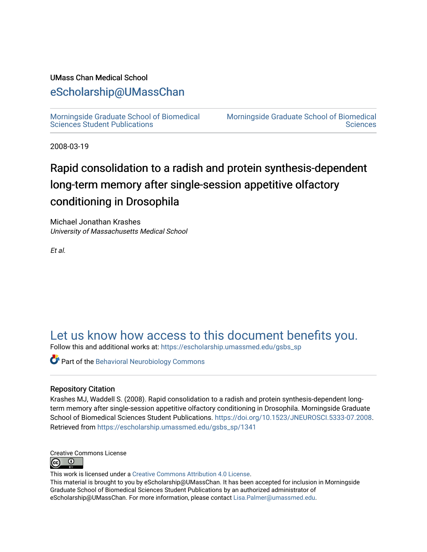#### UMass Chan Medical School

### [eScholarship@UMassChan](https://escholarship.umassmed.edu/)

[Morningside Graduate School of Biomedical](https://escholarship.umassmed.edu/gsbs_sp)  [Sciences Student Publications](https://escholarship.umassmed.edu/gsbs_sp) 

[Morningside Graduate School of Biomedical](https://escholarship.umassmed.edu/gsbs)  **Sciences** 

2008-03-19

## Rapid consolidation to a radish and protein synthesis-dependent long-term memory after single-session appetitive olfactory conditioning in Drosophila

Michael Jonathan Krashes University of Massachusetts Medical School

Et al.

### [Let us know how access to this document benefits you.](https://arcsapps.umassmed.edu/redcap/surveys/?s=XWRHNF9EJE)

Follow this and additional works at: [https://escholarship.umassmed.edu/gsbs\\_sp](https://escholarship.umassmed.edu/gsbs_sp?utm_source=escholarship.umassmed.edu%2Fgsbs_sp%2F1341&utm_medium=PDF&utm_campaign=PDFCoverPages)

**Part of the Behavioral Neurobiology Commons** 

#### Repository Citation

Krashes MJ, Waddell S. (2008). Rapid consolidation to a radish and protein synthesis-dependent longterm memory after single-session appetitive olfactory conditioning in Drosophila. Morningside Graduate School of Biomedical Sciences Student Publications.<https://doi.org/10.1523/JNEUROSCI.5333-07.2008>. Retrieved from [https://escholarship.umassmed.edu/gsbs\\_sp/1341](https://escholarship.umassmed.edu/gsbs_sp/1341?utm_source=escholarship.umassmed.edu%2Fgsbs_sp%2F1341&utm_medium=PDF&utm_campaign=PDFCoverPages) 



This work is licensed under a [Creative Commons Attribution 4.0 License](http://creativecommons.org/licenses/by/4.0/).

This material is brought to you by eScholarship@UMassChan. It has been accepted for inclusion in Morningside Graduate School of Biomedical Sciences Student Publications by an authorized administrator of eScholarship@UMassChan. For more information, please contact [Lisa.Palmer@umassmed.edu](mailto:Lisa.Palmer@umassmed.edu).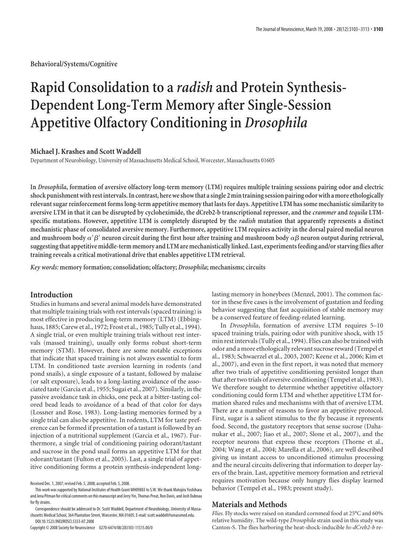**Behavioral/Systems/Cognitive**

# **Rapid Consolidation to a** *radish* **and Protein Synthesis-Dependent Long-Term Memory after Single-Session Appetitive Olfactory Conditioning in** *Drosophila*

#### **Michael J. Krashes and Scott Waddell**

Department of Neurobiology, University of Massachusetts Medical School, Worcester, Massachusetts 01605

**In** *Drosophila***, formation of aversive olfactory long-term memory (LTM) requires multiple training sessions pairing odor and electric shock punishment with rest intervals. In contrast, here we showthat a single 2 mintraining session pairing odor with a more ethologically relevant sugar reinforcement forms long-term appetitive memory that lasts for days. Appetitive LTM has some mechanistic similarity to aversive LTM in that it can be disrupted by cycloheximide, the dCreb2-b transcriptional repressor, and the** *crammer* **and** *tequila* **LTMspecific mutations. However, appetitive LTM is completely disrupted by the** *radish* **mutation that apparently represents a distinct mechanistic phase of consolidated aversive memory. Furthermore, appetitive LTM requires activity in the dorsal paired medial neuron** and mushroom body  $\alpha' \beta'$  neuron circuit during the first hour after training and mushroom body  $\alpha\beta$  neuron output during retrieval, **suggestingthat appetitive middle-term memory and LTM are mechanistically linked. Last, experimentsfeeding and/or starvingflies after training reveals a critical motivational drive that enables appetitive LTM retrieval.**

*Key words:* **memory formation; consolidation; olfactory;** *Drosophila***; mechanisms; circuits**

#### **Introduction**

Studies in humans and several animal models have demonstrated that multiple training trials with rest intervals (spaced training) is most effective in producing long-term memory (LTM) (Ebbinghaus, 1885; Carew et al., 1972; Frost et al., 1985; Tully et al., 1994). A single trial, or even multiple training trials without rest intervals (massed training), usually only forms robust short-term memory (STM). However, there are some notable exceptions that indicate that spaced training is not always essential to form LTM. In conditioned taste aversion learning in rodents (and pond snails), a single exposure of a tastant, followed by malaise (or salt exposure), leads to a long-lasting avoidance of the associated taste (Garcia et al., 1955; Sugai et al., 2007). Similarly, in the passive avoidance task in chicks, one peck at a bitter-tasting colored bead leads to avoidance of a bead of that color for days (Lossner and Rose, 1983). Long-lasting memories formed by a single trial can also be appetitive. In rodents, LTM for taste preference can be formed if presentation of a tastant is followed by an injection of a nutritional supplement (Garcia et al., 1967). Furthermore, a single trial of conditioning pairing odorant/tastant and sucrose in the pond snail forms an appetitive LTM for that odorant/tastant (Fulton et al., 2005). Last, a single trial of appetitive conditioning forms a protein synthesis-independent long-

Copyright © 2008 Society for Neuroscience 0270-6474/08/283103-11\$15.00/0

lasting memory in honeybees (Menzel, 2001). The common factor in these five cases is the involvement of gustation and feeding behavior suggesting that fast acquisition of stable memory may be a conserved feature of feeding-related learning.

In *Drosophila*, formation of aversive LTM requires 5–10 spaced training trials, pairing odor with punitive shock, with 15 min rest intervals (Tully et al., 1994). Flies can also be trained with odor and a more ethologically relevant sucrose reward (Tempel et al., 1983; Schwaerzel et al., 2003, 2007; Keene et al., 2006; Kim et al., 2007), and even in the first report, it was noted that memory after two trials of appetitive conditioning persisted longer than that after two trials of aversive conditioning (Tempel et al., 1983). We therefore sought to determine whether appetitive olfactory conditioning could form LTM and whether appetitive LTM formation shared rules and mechanisms with that of aversive LTM. There are a number of reasons to favor an appetitive protocol. First, sugar is a salient stimulus to the fly because it represents food. Second, the gustatory receptors that sense sucrose (Dahanukar et al., 2007; Jiao et al., 2007; Slone et al., 2007), and the receptor neurons that express these receptors (Thorne et al., 2004; Wang et al., 2004; Marella et al., 2006), are well described giving us instant access to unconditioned stimulus processing and the neural circuits delivering that information to deeper layers of the brain. Last, appetitive memory formation and retrieval requires motivation because only hungry flies display learned behavior (Tempel et al., 1983; present study).

#### **Materials and Methods**

*Flies.* Fly stocks were raised on standard cornmeal food at 25°C and 60% relative humidity. The wild-type *Drosophila* strain used in this study was Canton-S. The flies harboring the heat-shock-inducible *hs-dCreb2-b* re-

Received Dec. 1, 2007; revised Feb. 5, 2008; accepted Feb. 5, 2008.

This work was supported by National Institutes of Health Grant MH09883 to S.W. We thank Motojiro Yoshihara and Jena Pitman for critical comments on this manuscript and Jerry Yin, Thomas Preat, Ron Davis, and Josh Dubnau for fly strains.

Correspondence should be addressed to Dr. Scott Waddell, Department of Neurobiology, University of Massachusetts Medical School, 364 Plantation Street, Worcester, MA 01605. E-mail: scott.waddell@umassmed.edu. DOI:10.1523/JNEUROSCI.5333-07.2008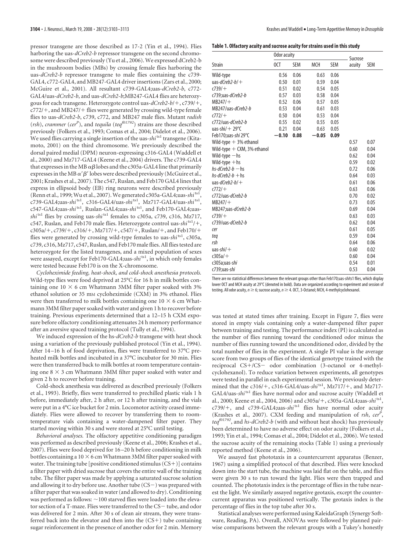pressor transgene are those described as 17-2 (Yin et al., 1994). Flies harboring the uas-*dCreb2-b* repressor transgene on the second chromosome were described previously (Yu et al., 2006). We expressed dCreb2-b in the mushroom bodies (MBs) by crossing female flies harboring the uas-*dCreb2-b* repressor transgene to male flies containing the c739- GAL4, c772-GAL4, and MB247-GAL4 driver insertions (Zars et al., 2000; McGuire et al., 2001). All resultant c739-GAL4;uas-*dCreb2-b*, c772- GAL4/uas-*dCreb2-b*, and uas-*dCreb2-b*;MB247-GAL4 flies are heterozygous for each transgene. Heterozygote control uas- $dCreb2-b/+$ , c739/+, c772/+, and MB247/+ flies were generated by crossing wild-type female flies to uas-*dCreb2-b*, c739, c772, and MB247 male flies. Mutant *radish* (*rsh*), *crammer* (*cerP* ), and *tequila* (*teqf01792*) strains are those described previously (Folkers et al., 1993; Comas et al., 2004; Didelot et al., 2006). We used flies carrying a single insertion of the uas-shi<sup>ts1</sup> transgene (Kitamoto, 2001) on the third chromosome. We previously described the dorsal paired medial (DPM) neuron-expressing c316-GAL4 (Waddell et al., 2000) and Mz717-GAL4 (Keene et al., 2004) drivers. The c739-GAL4 that expresses in the MB  $\alpha\beta$  lobes and the c305a-GAL4 line that primarily expresses in the MB  $\alpha' \beta'$  lobes were described previously (McGuire et al., 2001; Krashes et al., 2007). The c547, Ruslan, and Feb170 GAL4 lines that express in ellipsoid body (EB) ring neurons were described previously (Renn et al., 1999; Wu et al., 2007). We generated c305a-GAL4;uas-*shi* ts1, c739-GAL4;uas-*shi* ts1, c316-GAL4/uas-*shi* ts1, Mz717-GAL4/uas-*shi* ts1, c547-GAL4;uas-shi<sup>ts1</sup>, Ruslan-GAL4;uas-shi<sup>ts1</sup>, and Feb170-GAL4;uas*shi*<sup>ts1</sup> flies by crossing uas-*shi*<sup>ts1</sup> females to c305a, c739, c316, Mz717, c547, Ruslan, and Feb170 male flies. Heterozygote control uas-shi<sup>ts1</sup>/+, c305a/+, c739/+, c316/+, Mz717/+, c547/+, Ruslan/+, and Feb170/+ flies were generated by crossing wild-type females to uas-*shi*<sup>ts1</sup>, c305a, c739, c316, Mz717, c547, Ruslan, and Feb170 male flies. All flies tested are heterozygote for the listed transgenes, and a mixed population of sexes were assayed, except for Feb170-GAL4;uas-*shi*<sup>ts1</sup>, in which only females were tested because Feb170 is on the X-chromosome.

*Cycloheximide feeding, heat-shock, and cold-shock anesthesia protocols.* Wild-type flies were food deprived at 25°C for 16 h in milk bottles containing one  $10 \times 6$  cm Whatmann 3MM filter paper soaked with 3% ethanol solution or 35 mm cycloheximide (CXM) in 3% ethanol. Flies were then transferred to milk bottles containing one  $10 \times 6$  cm Whatmann 3MM filter paper soaked with water and given 1 h to recover before training. Previous experiments determined that a 12–15 h CXM exposure before olfactory conditioning attenuates 24 h memory performance after an aversive spaced training protocol (Tully et al., 1994).

We induced expression of the hs-*dCreb2-b* transgene with heat shock using a variation of the previously published protocol (Yin et al., 1994). After 14 –16 h of food deprivation, flies were transferred to 37°C preheated milk bottles and incubated in a 37°C incubator for 30 min. Flies were then transferred back to milk bottles at room temperature containing one  $8 \times 3$  cm Whatmann 3MM filter paper soaked with water and given 2 h to recover before training.

Cold-shock anesthesia was delivered as described previously (Folkers et al., 1993). Briefly, flies were transferred to prechilled plastic vials 1 h before, immediately after, 2 h after, or 12 h after training, and the vials were put in a 4°C ice bucket for 2 min. Locomotor activity ceased immediately. Flies were allowed to recover by transferring them to roomtemperature vials containing a water-dampened filter paper. They started moving within 30 s and were stored at 25°C until testing.

*Behavioral analyses.* The olfactory appetitive conditioning paradigm was performed as described previously (Keene et al., 2006; Krashes et al., 2007). Flies were food deprived for 16 –20 h before conditioning in milk bottles containing a  $10 \times 6$  cm Whatmann 3MM filter paper soaked with water. The training tube [positive conditioned stimulus (CS-)] contains a filter paper with dried sucrose that covers the entire wall of the training tube. The filter paper was made by applying a saturated sucrose solution and allowing it to dry before use. Another tube  $(CS-)$  was prepared with a filter paper that was soaked in water (and allowed to dry). Conditioning was performed as follows:  $\sim$  100 starved flies were loaded into the elevator section of a T-maze. Flies were transferred to the  $CS$  tube, and odor was delivered for 2 min. After 30 s of clean air stream, they were transferred back into the elevator and then into the (CS+) tube containing sugar reinforcement in the presence of another odor for 2 min. Memory

| Table 1. Olfactory acuity and sucrose acuity for strains used in this study |  |  |  |  |  |
|-----------------------------------------------------------------------------|--|--|--|--|--|
|-----------------------------------------------------------------------------|--|--|--|--|--|

|                               | Odor acuity | Sucrose    |         |            |        |      |
|-------------------------------|-------------|------------|---------|------------|--------|------|
| Strain                        | 0CT         | <b>SEM</b> | MCH     | <b>SEM</b> | acuity | SEM  |
| Wild-type                     | 0.56        | 0.06       | 0.63    | 0.06       |        |      |
| uas-dCreb2-b/ $+$             | 0.50        | 0.01       | 0.59    | 0.04       |        |      |
| $(739/+$                      | 0.51        | 0.02       | 0.54    | 0.05       |        |      |
| c739;uas-dCreb2-b             | 0.57        | 0.03       | 0.58    | 0.04       |        |      |
| $MB247/+$                     | 0.52        | 0.06       | 0.57    | 0.05       |        |      |
| MB247/uas-dCreb2-b            | 0.53        | 0.04       | 0.61    | 0.03       |        |      |
| $(772/+$                      | 0.50        | 0.04       | 0.53    | 0.04       |        |      |
| c772/uas-dCreb2-b             | 0.55        | 0.02       | 0.55    | 0.05       |        |      |
| uas-shi∕ + 29°C               | 0.21        | 0.04       | 0.63    | 0.05       |        |      |
| Feb170;uas- <i>shi</i> 29°C   | $-0.10$     | 0.08       | $-0.05$ | 0.09       |        |      |
| Wild-type $+3%$ ethanol       |             |            |         |            | 0.57   | 0.07 |
| Wild-type $+$ CXM, 3% ethanol |             |            |         |            | 0.60   | 0.04 |
| Wild-type — hs                |             |            |         |            | 0.62   | 0.04 |
| Wild-type $+$ hs              |             |            |         |            | 0.59   | 0.02 |
| hs-dCreb2-b — hs              |             |            |         |            | 0.72   | 0.06 |
| hs-dCreb2-b $+$ hs            |             |            |         |            | 0.64   | 0.03 |
| uas-dCreb2-b/+                |             |            |         |            | 0.61   | 0.06 |
| $(772/+$                      |             |            |         |            | 0.63   | 0.06 |
| c772/uas-dCreb2-b             |             |            |         |            | 0.70   | 0.02 |
| $MB247/+$                     |             |            |         |            | 0.73   | 0.05 |
| MB247;uas-dCreb2-b            |             |            |         |            | 0.69   | 0.04 |
| $(739/+$                      |             |            |         |            | 0.63   | 0.03 |
| c739/uas-dCreb2-b             |             |            |         |            | 0.62   | 0.04 |
| cer                           |             |            |         |            | 0.61   | 0.05 |
| teg                           |             |            |         |            | 0.59   | 0.04 |
| rsh                           |             |            |         |            | 0.64   | 0.06 |
| uas- <i>shi/</i> +            |             |            |         |            | 0.60   | 0.02 |
| $c305a/+$                     |             |            |         |            | 0.60   | 0.04 |
| c305a;uas-shi                 |             |            |         |            | 0.54   | 0.01 |
| c739:uas-shi                  |             |            |         |            | 0.53   | 0.04 |

There are no statistical differences between the relevant groups other than Feb170;uas-*shi*ts1 flies, which display lower OCT and MCH acuity at 29°C (denoted in bold). Data are organized according to experiment and session of testing. All odor acuity, *n* ≥ 6; sucrose acuity, *n* ≥ 4. OCT, 3-Octanol; MCH, 4-methylcyclohexanol.

was tested at stated times after training. Except in Figure 7, flies were stored in empty vials containing only a water-dampened filter paper between training and testing. The performance index (PI) is calculated as the number of flies running toward the conditioned odor minus the number of flies running toward the unconditioned odor, divided by the total number of flies in the experiment. A single PI value is the average score from two groups of flies of the identical genotype trained with the reciprocal CS+/CS- odor combination (3-octanol or 4-methylcyclohexanol). To reduce variation between experiments, all genotypes were tested in parallel in each experimental session. We previously determined that the c316/+, c316-GAL4/uas-shi<sup>ts1</sup>, Mz717/+, and Mz717-GAL4/uas-*shi*<sup>ts1</sup> flies have normal odor and sucrose acuity (Waddell et al., 2000; Keene et al., 2004, 2006) and c305a/+, c305a-GAL4;uas-*shi*<sup>ts1</sup>, c739/+, and c739-GAL4;uas-shi<sup>ts1</sup> flies have normal odor acuity (Krashes et al., 2007). CXM feeding and manipulation of *rsh*, cer<sup>p</sup>, *teqf01792*, and *hs-dCreb2-b* (with and without heat shock) has previously been determined to have no adverse effect on odor acuity (Folkers et al., 1993; Yin et al., 1994; Comas et al., 2004; Didelot et al., 2006). We tested the sucrose acuity of the remaining stocks (Table 1) using a previously reported method (Keene et al., 2006).

We assayed fast phototaxis in a countercurrent apparatus (Benzer, 1967) using a simplified protocol of that described. Flies were knocked down into the start tube, the machine was laid flat on the table, and flies were given 30 s to run toward the light. Flies were then trapped and counted. The phototaxis index is the percentage of flies in the tube nearest the light. We similarly assayed negative geotaxis, except the countercurrent apparatus was positioned vertically. The geotaxis index is the percentage of flies in the top tube after 30 s.

Statistical analyses were performed using KaleidaGraph (Synergy Software, Reading, PA). Overall, ANOVAs were followed by planned pairwise comparisons between the relevant groups with a Tukey's honestly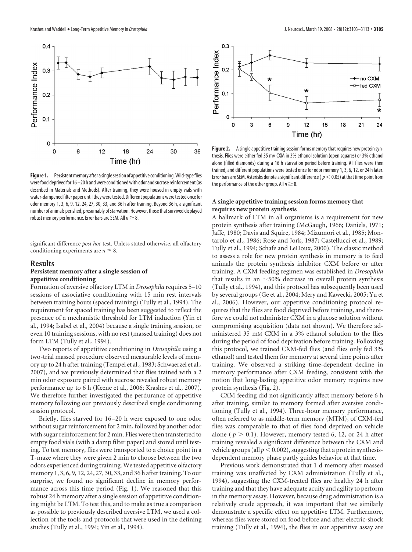

Figure 1. Persistent memory after a single session of appetitive conditioning. Wild-type flies were food deprived for  $16 - 20$  h and were conditioned with odor and sucrose reinforcement (as described in Materials and Methods). After training, they were housed in empty vials with water-dampened filter paper until they were tested. Different populations were tested once for odor memory 1, 3, 6, 9, 12, 24, 27, 30, 33, and 36 h after training. Beyond 36 h, a significant number of animals perished, presumably of starvation. However, those that survived displayed robust memory performance. Error bars are SEM. All  $n \geq 8$ .

significant difference *post hoc* test. Unless stated otherwise, all olfactory conditioning experiments are  $n \geq 8$ .

#### **Results**

#### **Persistent memory after a single session of appetitive conditioning**

Formation of aversive olfactory LTM in *Drosophila* requires 5–10 sessions of associative conditioning with 15 min rest intervals between training bouts (spaced training) (Tully et al., 1994). The requirement for spaced training has been suggested to reflect the presence of a mechanistic threshold for LTM induction (Yin et al., 1994; Isabel et al., 2004) because a single training session, or even 10 training sessions, with no rest (massed training) does not form LTM (Tully et al., 1994).

Two reports of appetitive conditioning in *Drosophila* using a two-trial massed procedure observed measurable levels of memory up to 24 h after training (Tempel et al., 1983; Schwaerzel et al., 2007), and we previously determined that flies trained with a 2 min odor exposure paired with sucrose revealed robust memory performance up to 6 h (Keene et al., 2006; Krashes et al., 2007). We therefore further investigated the perdurance of appetitive memory following our previously described single conditioning session protocol.

Briefly, flies starved for 16 –20 h were exposed to one odor without sugar reinforcement for 2 min, followed by another odor with sugar reinforcement for 2 min. Flies were then transferred to empty food vials (with a damp filter paper) and stored until testing. To test memory, flies were transported to a choice point in a T-maze where they were given 2 min to choose between the two odors experienced during training. We tested appetitive olfactory memory 1, 3, 6, 9, 12, 24, 27, 30, 33, and 36 h after training. To our surprise, we found no significant decline in memory performance across this time period (Fig. 1). We reasoned that this robust 24 h memory after a single session of appetitive conditioning might be LTM. To test this, and to make as true a comparison as possible to previously described aversive LTM, we used a collection of the tools and protocols that were used in the defining studies (Tully et al., 1994; Yin et al., 1994).



**Figure 2.** A single appetitive training session forms memory that requires new protein synthesis. Flies were either fed 35 mm CXM in 3% ethanol solution (open squares) or 3% ethanol alone (filled diamonds) during a 16 h starvation period before training. All flies were then trained, and different populations were tested once for odor memory 1, 3, 6, 12, or 24 h later. Error bars are SEM. Asterisks denote a significant difference ( $p<$  0.05) at that time point from the performance of the other group. All  $n \geq 8$ .

#### **A single appetitive training session forms memory that requires new protein synthesis**

A hallmark of LTM in all organisms is a requirement for new protein synthesis after training (McGaugh, 1966; Daniels, 1971; Jaffe, 1980; Davis and Squire, 1984; Mizumori et al., 1985; Montarolo et al., 1986; Rose and Jork, 1987; Castellucci et al., 1989; Tully et al., 1994; Schafe and LeDoux, 2000). The classic method to assess a role for new protein synthesis in memory is to feed animals the protein synthesis inhibitor CXM before or after training. A CXM feeding regimen was established in *Drosophila* that results in an  $\sim$  50% decrease in overall protein synthesis (Tully et al., 1994), and this protocol has subsequently been used by several groups (Ge et al., 2004; Mery and Kawecki, 2005; Yu et al., 2006). However, our appetitive conditioning protocol requires that the flies are food deprived before training, and therefore we could not administer CXM in a glucose solution without compromising acquisition (data not shown). We therefore administered 35 mm CXM in a 3% ethanol solution to the flies during the period of food deprivation before training. Following this protocol, we trained CXM-fed flies (and flies only fed 3% ethanol) and tested them for memory at several time points after training. We observed a striking time-dependent decline in memory performance after CXM feeding, consistent with the notion that long-lasting appetitive odor memory requires new protein synthesis (Fig. 2).

CXM feeding did not significantly affect memory before 6 h after training, similar to memory formed after aversive conditioning (Tully et al., 1994). Three-hour memory performance, often referred to as middle-term memory (MTM), of CXM-fed flies was comparable to that of flies food deprived on vehicle alone ( $p > 0.1$ ). However, memory tested 6, 12, or 24 h after training revealed a significant difference between the CXM and vehicle groups (all  $p < 0.002$ ), suggesting that a protein synthesisdependent memory phase partly guides behavior at that time.

Previous work demonstrated that 1 d memory after massed training was unaffected by CXM administration (Tully et al., 1994), suggesting the CXM-treated flies are healthy 24 h after training and that they have adequate acuity and agility to perform in the memory assay. However, because drug administration is a relatively crude approach, it was important that we similarly demonstrate a specific effect on appetitive LTM. Furthermore, whereas flies were stored on food before and after electric-shock training (Tully et al., 1994), the flies in our appetitive assay are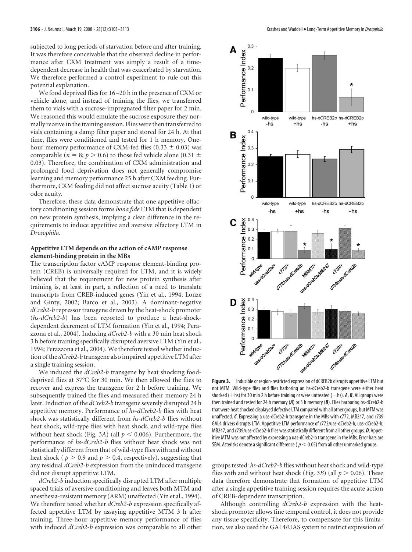subjected to long periods of starvation before and after training. It was therefore conceivable that the observed decline in performance after CXM treatment was simply a result of a timedependent decrease in health that was exacerbated by starvation. We therefore performed a control experiment to rule out this potential explanation.

We food deprived flies for 16 –20 h in the presence of CXM or vehicle alone, and instead of training the flies, we transferred them to vials with a sucrose-impregnated filter paper for 2 min. We reasoned this would emulate the sucrose exposure they normally receive in the training session. Flies were then transferred to vials containing a damp filter paper and stored for 24 h. At that time, flies were conditioned and tested for 1 h memory. Onehour memory performance of CXM-fed flies (0.33  $\pm$  0.03) was comparable ( $n = 8$ ;  $p > 0.6$ ) to those fed vehicle alone (0.31  $\pm$ 0.03). Therefore, the combination of CXM administration and prolonged food deprivation does not generally compromise learning and memory performance 25 h after CXM feeding. Furthermore, CXM feeding did not affect sucrose acuity (Table 1) or odor acuity.

Therefore, these data demonstrate that one appetitive olfactory conditioning session forms *bona fide* LTM that is dependent on new protein synthesis, implying a clear difference in the requirements to induce appetitive and aversive olfactory LTM in *Drosophila*.

#### **Appetitive LTM depends on the action of cAMP response element-binding protein in the MBs**

The transcription factor cAMP response element-binding protein (CREB) is universally required for LTM, and it is widely believed that the requirement for new protein synthesis after training is, at least in part, a reflection of a need to translate transcripts from CREB-induced genes (Yin et al., 1994; Lonze and Ginty, 2002; Barco et al., 2003). A dominant-negative *dCreb2-b* repressor transgene driven by the heat-shock promoter (*hs-dCreb2-b*) has been reported to produce a heat-shockdependent decrement of LTM formation (Yin et al., 1994; Perazzona et al., 2004). Inducing *dCreb2-b* with a 30 min heat shock 3 h before training specifically disrupted aversive LTM (Yin et al., 1994; Perazzona et al., 2004). We therefore tested whether induction of the *dCreb2-b* transgene also impaired appetitive LTM after a single training session.

We induced the *dCreb2-b* transgene by heat shocking fooddeprived flies at 37°C for 30 min. We then allowed the flies to recover and express the transgene for 2 h before training. We subsequently trained the flies and measured their memory 24 h later. Induction of the *dCreb2-b* transgene severely disrupted 24 h appetitive memory. Performance of *hs-dCreb2-b* flies with heat shock was statistically different from *hs-dCreb2-b* flies without heat shock, wild-type flies with heat shock, and wild-type flies without heat shock (Fig. 3A) (all  $p < 0.006$ ). Furthermore, the performance of *hs-dCreb2-b* flies without heat shock was not statistically different from that of wild-type flies with and without heat shock ( $p > 0.9$  and  $p > 0.4$ , respectively), suggesting that any residual *dCreb2-b* expression from the uninduced transgene did not disrupt appetitive LTM.

*dCreb2-b* induction specifically disrupted LTM after multiple spaced trials of aversive conditioning and leaves both MTM and anesthesia-resistant memory (ARM) unaffected (Yin et al., 1994). We therefore tested whether *dCreb2-b* expression specifically affected appetitive LTM by assaying appetitive MTM 3 h after training. Three-hour appetitive memory performance of flies with induced *dCreb2-b* expression was comparable to all other



**Figure 3.** Inducible or region-restricted expression of dCREB2b disrupts appetitive LTM but not MTM. Wild-type flies and flies harboring an hs-dCreb2-b transgene were either heat shocked (+hs) for 30 min 2 h before training or were untreated (—hs). *A, B,* All groups were then trained and tested for 24 h memory (*A*) or 3 h memory (*B*). Flies harboring hs-dCreb2-b that were heat shocked displayed defective LTM compared with all other groups, but MTM was unaffected. *C*, Expressing a uas-dCreb2-b transgene in the MBs with c772, MB247, and c739 GAL4 drivers disrupts LTM. Appetitive LTM performance of c772/uas-dCreb2-b, uas-dCreb2-b; MB247, and c739/uas-dCreb2-b flies was statistically different from all other groups. **D**, Appetitive MTM was not affected by expressing a uas-dCreb2-b transgene in the MBs. Error bars are SEM. Asterisks denote a significant difference ( $p < 0.05$ ) from all other unmarked groups.

groups tested: *hs-dCreb2-b* flies without heat shock and wild-type flies with and without heat shock (Fig. 3*B*) (all  $p > 0.06$ ). These data therefore demonstrate that formation of appetitive LTM after a single appetitive training session requires the acute action of CREB-dependent transcription.

Although controlling *dCreb2-b* expression with the heatshock promoter allows fine temporal control, it does not provide any tissue specificity. Therefore, to compensate for this limitation, we also used the GAL4/UAS system to restrict expression of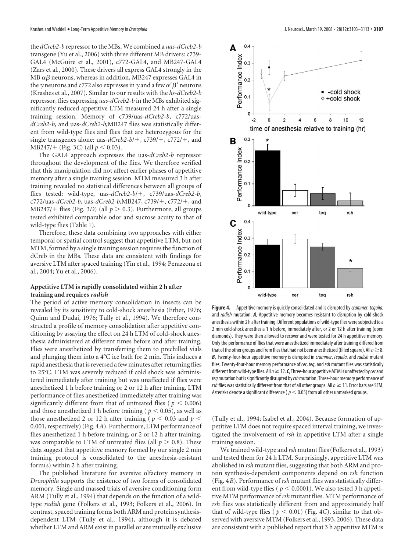the *dCreb2-b* repressor to the MBs. We combined a *uas-dCreb2-b* transgene (Yu et al., 2006) with three different MB drivers: c739- GAL4 (McGuire et al., 2001), c772-GAL4, and MB247-GAL4 (Zars et al., 2000). These drivers all express GAL4 strongly in the MB  $\alpha\beta$  neurons, whereas in addition, MB247 expresses GAL4 in the  $\gamma$  neurons and c772 also expresses in  $\gamma$  and a few  $\alpha' \beta'$  neurons (Krashes et al., 2007). Similar to our results with the *hs-dCreb2-b* repressor, flies expressing *uas-dCreb2-b* in the MBs exhibited significantly reduced appetitive LTM measured 24 h after a single training session. Memory of c739/uas-*dCreb2-b*, c772/uas*dCreb2-b*, and uas-*dCreb2-b;*MB247 flies was statistically different from wild-type flies and flies that are heterozygous for the single transgenes alone: uas- $dCreb2-b/+$ ,  $c739/+$ ,  $c772/+$ , and  $MB247/+$  (Fig. 3*C*) (all  $p < 0.03$ ).

The GAL4 approach expresses the uas-*dCreb2-b* repressor throughout the development of the flies. We therefore verified that this manipulation did not affect earlier phases of appetitive memory after a single training session. MTM measured 3 h after training revealed no statistical differences between all groups of flies tested: wild-type, uas-*dCreb2-b*/-, c739/uas-*dCreb2-b*, c772/uas-*dCreb2-b*, uas-*dCreb2-b*;MB247, c739/+, c772/+, and MB247/+ flies (Fig. 3*D*) (all  $p > 0.3$ ). Furthermore, all groups tested exhibited comparable odor and sucrose acuity to that of wild-type flies (Table 1).

Therefore, these data combining two approaches with either temporal or spatial control suggest that appetitive LTM, but not MTM, formed by a single training session requires the function of dCreb in the MBs. These data are consistent with findings for aversive LTM after spaced training (Yin et al., 1994; Perazzona et al., 2004; Yu et al., 2006).

#### **Appetitive LTM is rapidly consolidated within 2 h after training and requires** *radish*

The period of active memory consolidation in insects can be revealed by its sensitivity to cold-shock anesthesia (Erber, 1976; Quinn and Dudai, 1976; Tully et al., 1994). We therefore constructed a profile of memory consolidation after appetitive conditioning by assaying the effect on 24 h LTM of cold-shock anesthesia administered at different times before and after training. Flies were anesthetized by transferring them to prechilled vials and plunging them into a 4°C ice bath for 2 min. This induces a rapid anesthesia that is reversed a few minutes after returning flies to 25°C. LTM was severely reduced if cold shock was administered immediately after training but was unaffected if flies were anesthetized 1 h before training or 2 or 12 h after training. LTM performance of flies anesthetized immediately after training was significantly different from that of untreated flies ( $p < 0.006$ ) and those anesthetized 1 h before training ( $p < 0.05$ ), as well as those anesthetized 2 or 12 h after training ( $p < 0.03$  and  $p <$ 0.001, respectively) (Fig. 4*A*). Furthermore, LTM performance of flies anesthetized 1 h before training, or 2 or 12 h after training, was comparable to LTM of untreated flies (all  $p > 0.8$ ). These data suggest that appetitive memory formed by our single 2 min training protocol is consolidated to the anesthesia-resistant form(s) within 2 h after training.

The published literature for aversive olfactory memory in *Drosophila* supports the existence of two forms of consolidated memory. Single and massed trials of aversive conditioning form ARM (Tully et al., 1994) that depends on the function of a wildtype *radish* gene (Folkers et al., 1993; Folkers et al., 2006). In contrast, spaced training forms both ARM and protein synthesisdependent LTM (Tully et al., 1994), although it is debated whether LTM and ARM exist in parallel or are mutually exclusive



**Figure 4.** Appetitive memory is quickly consolidated and is disrupted by *crammer*, *tequila*, and *radish* mutation. *A*, Appetitive memory becomes resistant to disruption by cold-shock anesthesia within 2 h after training. Different populations of wild-type flies were subjected to a 2 min cold-shock anesthesia 1 h before, immediately after, or 2 or 12 h after training (open diamonds). They were then allowed to recover and were tested for 24 h appetitive memory. Only the performance of flies that were anesthetized immediately after training differed from that of the other groups and from flies that had not been anesthetized (filled square). All  $n \geq 8$ . *B*, Twenty-four-hour appetitive memory is disrupted in *crammer*, *tequila*, and *radish* mutant flies. Twenty-four-hour memory performance of *cer*, *teq*, and*rsh* mutant flies was statistically different from wild-type flies. All*n*12.*C*, Three-hour appetitiveMTM is unaffected by*cer*and *teq*mutation but issignificantly disrupted by*rsh*mutation. Three-hourmemory performance of *rsh* flies was statistically different from that of all other groups. All  $n \geq 11$ . Error bars are SEM. Asterisks denote a significant difference ( $p < 0.05$ ) from all other unmarked groups.

(Tully et al., 1994; Isabel et al., 2004). Because formation of appetitive LTM does not require spaced interval training, we investigated the involvement of *rsh* in appetitive LTM after a single training session.

We trained wild-type and *rsh* mutant flies (Folkers et al., 1993) and tested them for 24 h LTM. Surprisingly, appetitive LTM was abolished in *rsh* mutant flies, suggesting that both ARM and protein synthesis-dependent components depend on *rsh* function (Fig. 4*B*). Performance of *rsh* mutant flies was statistically different from wild-type flies ( $p < 0.0001$ ). We also tested 3 h appetitive MTM performance of*rsh* mutant flies. MTM performance of *rsh* flies was statistically different from and approximately half that of wild-type flies ( $p < 0.01$ ) (Fig. 4*C*), similar to that observed with aversive MTM (Folkers et al., 1993, 2006). These data are consistent with a published report that 3 h appetitive MTM is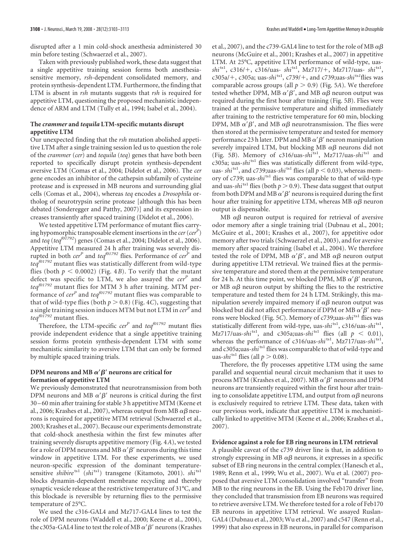disrupted after a 1 min cold-shock anesthesia administered 30 min before testing (Schwaerzel et al., 2007).

Taken with previously published work, these data suggest that a single appetitive training session forms both anesthesiasensitive memory, *rsh*-dependent consolidated memory, and protein synthesis-dependent LTM. Furthermore, the finding that LTM is absent in *rsh* mutants suggests that *rsh* is required for appetitive LTM, questioning the proposed mechanistic independence of ARM and LTM (Tully et al., 1994; Isabel et al., 2004).

#### **The** *crammer* **and** *tequila* **LTM-specific mutants disrupt appetitive LTM**

Our unexpected finding that the *rsh* mutation abolished appetitive LTM after a single training session led us to question the role of the *crammer* (*cer*) and *tequila* (*teq*) genes that have both been reported to specifically disrupt protein synthesis-dependent aversive LTM (Comas et al., 2004; Didelot et al., 2006). The *cer* gene encodes an inhibitor of the cathepsin subfamily of cysteine protease and is expressed in MB neurons and surrounding glial cells (Comas et al., 2004), whereas *teq* encodes a *Drosophila* ortholog of neurotrypsin serine protease [although this has been debated (Sonderegger and Patthy, 2007)] and its expression increases transiently after spaced training (Didelot et al., 2006).

We tested appetitive LTM performance of mutant flies carrying hypomorphic transposable element insertions in the *cer* (*cer<sup>P</sup>*) and *teq* (*teqf01792*) genes (Comas et al., 2004; Didelot et al., 2006). Appetitive LTM measured 24 h after training was severely disrupted in both *cer<sup>P</sup>* and *teq<sup>f01792</sup>* flies. Performance of *cer<sup>P</sup>* and *teqf01792* mutant flies was statistically different from wild-type flies (both  $p < 0.0002$ ) (Fig. 4*B*). To verify that the mutant defect was specific to LTM, we also assayed the *cer<sup>P</sup>* and *teqf01792* mutant flies for MTM 3 h after training. MTM performance of *cer<sup>P</sup>* and *teqf01792* mutant flies was comparable to that of wild-type flies (both  $p > 0.8$ ) (Fig. 4*C*), suggesting that a single training session induces MTM but not LTM in *cer<sup>P</sup>* and *teqf01792* mutant flies.

Therefore, the LTM-specific *cer<sup>P</sup>* and *teqf01792* mutant flies provide independent evidence that a single appetitive training session forms protein synthesis-dependent LTM with some mechanistic similarity to aversive LTM that can only be formed by multiple spaced training trials.

#### DPM neurons and MB  $\alpha' \beta'$  neurons are critical for **formation of appetitive LTM**

We previously demonstrated that neurotransmission from both DPM neurons and MB  $\alpha' \beta'$  neurons is critical during the first 30 –60 min after training for stable 3 h appetitive MTM (Keene et al., 2006; Krashes et al., 2007), whereas output from MB  $\alpha\beta$  neurons is required for appetitive MTM retrieval (Schwaerzel et al., 2003; Krashes et al., 2007). Because our experiments demonstrate that cold-shock anesthesia within the first few minutes after training severely disrupts appetitive memory (Fig. 4*A*), we tested for a role of DPM neurons and MB  $\alpha' \beta'$  neurons during this time window in appetitive LTM. For these experiments, we used neuron-specific expression of the dominant temperaturesensitive *shibire*<sup>ts1</sup> (*shi*<sup>ts1</sup>) transgene (Kitamoto, 2001). *shi*<sup>ts1</sup> blocks dynamin-dependent membrane recycling and thereby synaptic vesicle release at the restrictive temperature of 31°C, and this blockade is reversible by returning flies to the permissive temperature of 25°C.

We used the c316-GAL4 and Mz717-GAL4 lines to test the role of DPM neurons (Waddell et al., 2000; Keene et al., 2004), the c305a-GAL4 line to test the role of MB  $\alpha' \beta'$  neurons (Krashes

et al., 2007), and the c739-GAL4 line to test for the role of MB  $\alpha\beta$ neurons (McGuire et al., 2001; Krashes et al., 2007) in appetitive LTM. At 25°C, appetitive LTM performance of wild-type, uas*shi*ts1, c316/-, c316/uas- *shi*ts1, Mz717/-, Mz717/uas- *shi*ts1, c305a/-, c305a; uas-*shi*ts1, c739/-, and c739;uas-*shi*ts*<sup>1</sup>* flies was comparable across groups (all  $p > 0.9$ ) (Fig. 5*A*). We therefore tested whether DPM, MB  $\alpha' \beta'$ , and MB  $\alpha \beta$  neuron output was required during the first hour after training (Fig. 5*B*). Flies were trained at the permissive temperature and shifted immediately after training to the restrictive temperature for 60 min, blocking DPM, MB  $\alpha' \beta'$ , and MB  $\alpha \beta$  neurotransmission. The flies were then stored at the permissive temperature and tested for memory performance 23 h later. DPM and MB  $\alpha' \beta'$  neuron manipulation severely impaired LTM, but blocking MB  $\alpha\beta$  neurons did not (Fig. 5*B*). Memory of c316/uas-*shi*ts1, Mz717/uas-*shi*ts1 and c305a; uas-*shi*ts1 flies was statistically different from wild-type, uas-  $\sinh^{-1}$ , and c739;uas- $\sinh^{-1}$  flies (all  $p < 0.03$ ), whereas memory of c739; uas-*shi*ts1 flies was comparable to that of wild-type and uas- $\frac{shi^{ts1}}{s}$  flies (both  $p > 0.9$ ). These data suggest that output from both DPM and MB  $\alpha' \beta'$  neurons is required during the first hour after training for appetitive LTM, whereas MB  $\alpha\beta$  neuron output is dispensable.

MB  $\alpha\beta$  neuron output is required for retrieval of aversive odor memory after a single training trial (Dubnau et al., 2001; McGuire et al., 2001; Krashes et al., 2007), for appetitive odor memory after two trials (Schwaerzel et al., 2003), and for aversive memory after spaced training (Isabel et al., 2004). We therefore tested the role of DPM, MB  $\alpha' \beta'$ , and MB  $\alpha \beta$  neuron output during appetitive LTM retrieval. We trained flies at the permissive temperature and stored them at the permissive temperature for 24 h. At this time point, we blocked DPM, MB  $\alpha' \beta'$  neuron, or MB  $\alpha\beta$  neuron output by shifting the flies to the restrictive temperature and tested them for 24 h LTM. Strikingly, this manipulation severely impaired memory if  $\alpha\beta$  neuron output was blocked but did not affect performance if DPM or MB  $\alpha' \beta'$  neurons were blocked (Fig. 5*C*). Memory of c739;uas-*shi*ts1 flies was statistically different from wild-type, uas-*shi*ts1, c316/uas-*shi*ts1, Mz717/uas-*shi*<sup>ts1</sup>, and c305a;uas-*shi*<sup>ts1</sup> flies (all  $p < 0.01$ ), whereas the performance of c316/uas-shi<sup>ts1</sup>, Mz717/uas-shi<sup>ts1</sup>, and c305a;uas-shi<sup>ts1</sup> flies was comparable to that of wild-type and uas- $\sin^{ts_1}$  flies (all  $p > 0.08$ ).

Therefore, the fly processes appetitive LTM using the same parallel and sequential neural circuit mechanism that it uses to process MTM (Krashes et al., 2007). MB  $\alpha' \beta'$  neurons and DPM neurons are transiently required within the first hour after training to consolidate appetitive LTM, and output from  $\alpha\beta$  neurons is exclusively required to retrieve LTM. These data, taken with our previous work, indicate that appetitive LTM is mechanistically linked to appetitive MTM (Keene et al., 2006; Krashes et al., 2007).

#### **Evidence against a role for EB ring neurons in LTM retrieval**

A plausible caveat of the c739 driver line is that, in addition to strongly expressing in MB  $\alpha\beta$  neurons, it expresses in a specific subset of EB ring neurons in the central complex (Hanesch et al., 1989; Renn et al., 1999; Wu et al., 2007). Wu et al. (2007) proposed that aversive LTM consolidation involved "transfer" from MB to the ring neurons in the EB. Using the Feb170 driver line, they concluded that transmission from EB neurons was required to retrieve aversive LTM. We therefore tested for a role of Feb170 EB neurons in appetitive LTM retrieval. We assayed Ruslan-GAL4 (Dubnau et al., 2003; Wu et al., 2007) and c547 (Renn et al., 1999) that also express in EB neurons, in parallel for comparison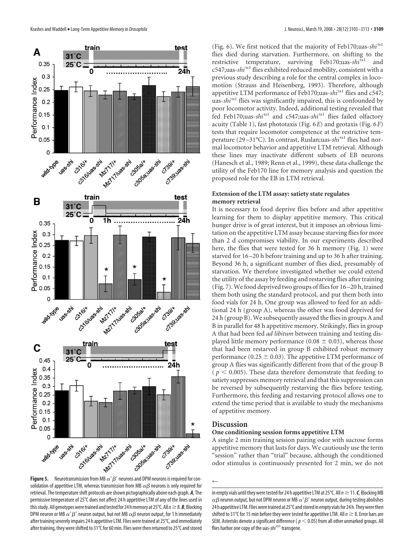

**Figure 5.** Neurotransmission from MB  $\alpha' \beta'$  neurons and DPM neurons is required for consolidation of appetitive LTM, whereas transmission from MB  $\alpha\beta$  neurons is only required for retrieval. The temperature shift protocols are shown pictographically above each graph. *A*, The permissive temperature of 25°C does not affect 24 h appetitive LTM of any of the lines used in this study. All genotypes were trained and tested for 24 h memory at 25°C. All  $n \geq 8$ . **B**, Blocking DPM neuron or MB  $\alpha' \beta'$  neuron output, but not MB  $\alpha \beta$  neuron output, for 1 h immediately after training severely impairs 24 h appetitive LTM. Flies were trained at 25°C, and immediately after training, they were shifted to 31°C for 60 min. Flies were then returned to 25°C and stored

(Fig. 6). We first noticed that the majority of Feb170;uas-*shi*ts1 flies died during starvation. Furthermore, on shifting to the restrictive temperature, surviving Feb170;uas-*shi*ts1 and c547;uas-*shi*ts1 flies exhibited reduced mobility, consistent with a previous study describing a role for the central complex in locomotion (Strauss and Heisenberg, 1993). Therefore, although appetitive LTM performance of Feb170;uas-*shi*ts1 flies and c547; uas-*shi*<sup>ts1</sup> flies was significantly impaired, this is confounded by poor locomotor activity. Indeed, additional testing revealed that fed Feb170;uas-*shi*ts1 and c547;uas-*shi*ts1 flies failed olfactory acuity (Table 1), fast phototaxis (Fig. 6*E*) and geotaxis (Fig. 6*F*) tests that require locomotor competence at the restrictive temperature (29 –31°C). In contrast, Ruslan;uas-*shi*ts1 flies had normal locomotor behavior and appetitive LTM retrieval. Although these lines may inactivate different subsets of EB neurons (Hanesch et al., 1989; Renn et al., 1999), these data challenge the utility of the Feb170 line for memory analysis and question the proposed role for the EB in LTM retrieval.

#### **Extension of the LTM assay: satiety state regulates memory retrieval**

It is necessary to food deprive flies before and after appetitive learning for them to display appetitive memory. This critical hunger drive is of great interest, but it imposes an obvious limitation on the appetitive LTM assay because starving flies for more than 2 d compromises viability. In our experiments described here, the flies that were tested for 36 h memory (Fig. 1) were starved for 16 –20 h before training and up to 36 h after training. Beyond 36 h, a significant number of flies died, presumably of starvation. We therefore investigated whether we could extend the utility of the assay by feeding and restarving flies after training (Fig. 7).We food deprived two groups of flies for 16 –20 h, trained them both using the standard protocol, and put them both into food vials for 24 h. One group was allowed to feed for an additional 24 h (group A), whereas the other was food deprived for 24 h (group B). We subsequently assayed the flies in groups A and B in parallel for 48 h appetitive memory. Strikingly, flies in group A that had been fed *ad libitum* between training and testing displayed little memory performance (0.08  $\pm$  0.03), whereas those that had been restarved in group B exhibited robust memory performance (0.25  $\pm$  0.03). The appetitive LTM performance of group A flies was significantly different from that of the group B ( $p < 0.005$ ). These data therefore demonstrate that feeding to satiety suppresses memory retrieval and that this suppression can be reversed by subsequently restarving the flies before testing. Furthermore, this feeding and restarving protocol allows one to extend the time period that is available to study the mechanisms of appetitive memory.

#### **Discussion**

#### **One conditioning session forms appetitive LTM**

A single 2 min training session pairing odor with sucrose forms appetitive memory that lasts for days. We cautiously use the term "session" rather than "trial" because, although the conditioned odor stimulus is continuously presented for 2 min, we do not

 $\leftarrow$ 

in empty vials until they were tested for 24 h appetitive LTM at 25 $\degree$ C. All  $n \geq 11$ . *C*, Blocking MB  $\alpha\beta$  neuron output, but not DPM neuron or MB  $\alpha'\beta'$  neuron output, during testing abolishes 24 h appetitive LTM. Flies were trained at 25 $\degree$ C and stored in empty vials for 24 h. They were then shifted to 31°C for 15 min before they were tested for appetitive LTM. All  $n \geq 8$ . Error bars are SEM. Asterisks denote a significant difference ( $p < 0.05$ ) from all other unmarked groups. All flies harbor one copy of the uas-shi<sup>ts1</sup> transgene.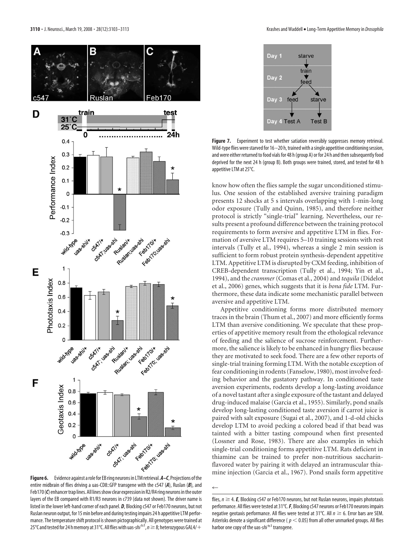



Figure 7. Experiment to test whether satiation reversibly suppresses memory retrieval. Wild-type flies were starved for 16 – 20 h, trained with a single appetitive conditioning session, and were either returned to food vials for 48 h (group A) or for 24 h and then subsequently food deprived for the next 24 h (group B). Both groups were trained, stored, and tested for 48 h appetitive LTM at 25°C.

know how often the flies sample the sugar unconditioned stimulus. One session of the established aversive training paradigm presents 12 shocks at 5 s intervals overlapping with 1-min-long odor exposure (Tully and Quinn, 1985), and therefore neither protocol is strictly "single-trial" learning. Nevertheless, our results present a profound difference between the training protocol requirements to form aversive and appetitive LTM in flies. Formation of aversive LTM requires 5–10 training sessions with rest intervals (Tully et al., 1994), whereas a single 2 min session is sufficient to form robust protein synthesis-dependent appetitive LTM. Appetitive LTM is disrupted by CXM feeding, inhibition of CREB-dependent transcription (Tully et al., 1994; Yin et al., 1994), and the *crammer* (Comas et al., 2004) and *tequila* (Didelot et al., 2006) genes, which suggests that it is *bona fide* LTM. Furthermore, these data indicate some mechanistic parallel between aversive and appetitive LTM.

Appetitive conditioning forms more distributed memory traces in the brain (Thum et al., 2007) and more efficiently forms LTM than aversive conditioning. We speculate that these properties of appetitive memory result from the ethological relevance of feeding and the salience of sucrose reinforcement. Furthermore, the salience is likely to be enhanced in hungry flies because they are motivated to seek food. There are a few other reports of single-trial training forming LTM. With the notable exception of fear conditioning in rodents (Fanselow, 1980), most involve feeding behavior and the gustatory pathway. In conditioned taste aversion experiments, rodents develop a long-lasting avoidance of a novel tastant after a single exposure of the tastant and delayed drug-induced malaise (Garcia et al., 1955). Similarly, pond snails develop long-lasting conditioned taste aversion if carrot juice is paired with salt exposure (Sugai et al., 2007), and 1-d-old chicks develop LTM to avoid pecking a colored bead if that bead was tainted with a bitter tasting compound when first presented (Lossner and Rose, 1983). There are also examples in which single-trial conditioning forms appetitive LTM. Rats deficient in thiamine can be trained to prefer non-nutritious saccharinflavored water by pairing it with delayed an intramuscular thiamine injection (Garcia et al., 1967). Pond snails form appetitive

 $\leftarrow$ 

entire midbrain of flies driving a uas-CD8::GFP transgene with the c547 (*A*), Ruslan (*B*), and Feb170 (C) enhancer trap lines. All lines show clear expression in R2/R4 ring neurons in the outer layers of the EB compared with R1/R3 neurons in c739 (data not shown). The driver name is listed in the lower left-hand corner of each panel. *D*, Blocking c547 or Feb170 neurons, but not Ruslan neuron output, for 15 min before and during testing impairs 24 h appetitive LTM performance. The temperature shift protocol is shown pictographically. All genotypes were trained at 25°C and tested for 24 h memory at 31°C. All flies with uas-*shi* <sup>ts1</sup>, *n* ≥ 8; heterozygous GAL4/+

flies,  $n \geq 4$ . **E**, Blocking c547 or Feb170 neurons, but not Ruslan neurons, impairs phototaxis performance. All flies were tested at 31°C.*F*, Blocking c547 neurons or Feb170 neurons impairs negative geotaxis performance. All flies were tested at 31°C. All  $n \geq 6$ . Error bars are SEM. Asterisks denote a significant difference ( $p < 0.05$ ) from all other unmarked groups. All flies harbor one copy of the uas-shi<sup>ts1</sup> transgene.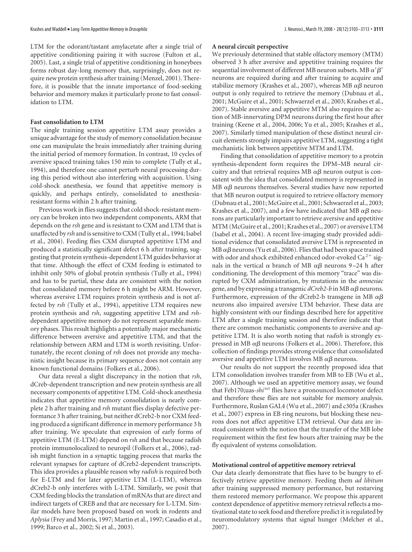LTM for the odorant/tastant amylacetate after a single trial of appetitive conditioning pairing it with sucrose (Fulton et al., 2005). Last, a single trial of appetitive conditioning in honeybees forms robust day-long memory that, surprisingly, does not require new protein synthesis after training (Menzel, 2001). Therefore, it is possible that the innate importance of food-seeking behavior and memory makes it particularly prone to fast consolidation to LTM.

#### **Fast consolidation to LTM**

The single training session appetitive LTM assay provides a unique advantage for the study of memory consolidation because one can manipulate the brain immediately after training during the initial period of memory formation. In contrast, 10 cycles of aversive spaced training takes 150 min to complete (Tully et al., 1994), and therefore one cannot perturb neural processing during this period without also interfering with acquisition. Using cold-shock anesthesia, we found that appetitive memory is quickly, and perhaps entirely, consolidated to anesthesiaresistant forms within 2 h after training.

Previous work in flies suggests that cold shock-resistant memory can be broken into two independent components, ARM that depends on the *rsh* gene and is resistant to CXM and LTM that is unaffected by *rsh* and is sensitive to CXM (Tully et al., 1994; Isabel et al., 2004). Feeding flies CXM disrupted appetitive LTM and produced a statistically significant defect 6 h after training, suggesting that protein synthesis-dependent LTM guides behavior at that time. Although the effect of CXM feeding is estimated to inhibit only 50% of global protein synthesis (Tully et al., 1994) and has to be partial, these data are consistent with the notion that consolidated memory before 6 h might be ARM. However, whereas aversive LTM requires protein synthesis and is not affected by *rsh* (Tully et al., 1994), appetitive LTM requires new protein synthesis and *rsh*, suggesting appetitive LTM and *rsh*dependent appetitive memory do not represent separable memory phases. This result highlights a potentially major mechanistic difference between aversive and appetitive LTM, and that the relationship between ARM and LTM is worth revisiting. Unfortunately, the recent cloning of *rsh* does not provide any mechanistic insight because its primary sequence does not contain any known functional domains (Folkers et al., 2006).

Our data reveal a slight discrepancy in the notion that *rsh*, dCreb-dependent transcription and new protein synthesis are all necessary components of appetitive LTM. Cold-shock anesthesia indicates that appetitive memory consolidation is nearly complete 2 h after training and *rsh* mutant flies display defective performance 3 h after training, but neither dCreb2-b nor CXM feeding produced a significant difference in memory performance 3 h after training. We speculate that expression of early forms of appetitive LTM (E-LTM) depend on *rsh* and that because radish protein immunolocalized to neuropil (Folkers et al., 2006), radish might function in a synaptic tagging process that marks the relevant synapses for capture of dCreb2-dependent transcripts. This idea provides a plausible reason why *radish* is required both for E-LTM and for later appetitive LTM (L-LTM), whereas dCreb2-b only interferes with L-LTM. Similarly, we posit that CXM feeding blocks the translation of mRNAs that are direct and indirect targets of CREB and that are necessary for L-LTM. Similar models have been proposed based on work in rodents and *Aplysia* (Frey and Morris, 1997; Martin et al., 1997; Casadio et al., 1999; Barco et al., 2002; Si et al., 2003).

#### **A neural circuit perspective**

We previously determined that stable olfactory memory (MTM) observed 3 h after aversive and appetitive training requires the sequential involvement of different MB neuron subsets. MB  $\alpha' \beta'$ neurons are required during and after training to acquire and stabilize memory (Krashes et al., 2007), whereas MB  $\alpha\beta$  neuron output is only required to retrieve the memory (Dubnau et al., 2001; McGuire et al., 2001; Schwaerzel et al., 2003; Krashes et al., 2007). Stable aversive and appetitive MTM also requires the action of MB-innervating DPM neurons during the first hour after training (Keene et al., 2004, 2006; Yu et al., 2005; Krashes et al., 2007). Similarly timed manipulation of these distinct neural circuit elements strongly impairs appetitive LTM, suggesting a tight mechanistic link between appetitive MTM and LTM.

Finding that consolidation of appetitive memory to a protein synthesis-dependent form requires the DPM–MB neural circuitry and that retrieval requires MB  $\alpha\beta$  neuron output is consistent with the idea that consolidated memory is represented in MB  $\alpha\beta$  neurons themselves. Several studies have now reported that MB neuron output is required to retrieve olfactory memory (Dubnau et al., 2001; McGuire et al., 2001; Schwaerzel et al., 2003; Krashes et al., 2007), and a few have indicated that MB  $\alpha\beta$  neurons are particularly important to retrieve aversive and appetitive MTM (McGuire et al., 2001; Krashes et al., 2007) or aversive LTM (Isabel et al., 2004). A recent live-imaging study provided additional evidence that consolidated aversive LTM is represented in MB  $\alpha\beta$  neurons (Yu et al., 2006). Flies that had been space trained with odor and shock exhibited enhanced odor-evoked Ca $^{2+}$  signals in the vertical  $\alpha$  branch of MB  $\alpha\beta$  neurons 9–24 h after conditioning. The development of this memory "trace" was disrupted by CXM administration, by mutations in the *amnesiac* gene, and by expressing a transgenic  $d$ Creb2-b in MB  $\alpha\beta$  neurons. Furthermore, expression of the dCreb2-b transgene in MB  $\alpha\beta$ neurons also impaired aversive LTM behavior. These data are highly consistent with our findings described here for appetitive LTM after a single training session and therefore indicate that there are common mechanistic components to aversive and appetitive LTM. It is also worth noting that *radish* is strongly expressed in MB  $\alpha\beta$  neurons (Folkers et al., 2006). Therefore, this collection of findings provides strong evidence that consolidated aversive and appetitive LTM involves MB  $\alpha\beta$  neurons.

Our results do not support the recently proposed idea that LTM consolidation involves transfer from MB to EB (Wu et al., 2007). Although we used an appetitive memory assay, we found that Feb170;uas-*shi*<sup>ts1</sup> flies have a pronounced locomotor defect and therefore these flies are not suitable for memory analysis. Furthermore, Ruslan GAL4 (Wu et al., 2007) and c305a (Krashes et al., 2007) express in EB ring neurons, but blocking these neurons does not affect appetitive LTM retrieval. Our data are instead consistent with the notion that the transfer of the MB lobe requirement within the first few hours after training may be the fly equivalent of systems consolidation.

#### **Motivational control of appetitive memory retrieval**

Our data clearly demonstrate that flies have to be hungry to effectively retrieve appetitive memory. Feeding them *ad libitum* after training suppressed memory performance, but restarving them restored memory performance. We propose this apparent context dependence of appetitive memory retrieval reflects a motivational state to seek food and therefore predict it is regulated by neuromodulatory systems that signal hunger (Melcher et al., 2007).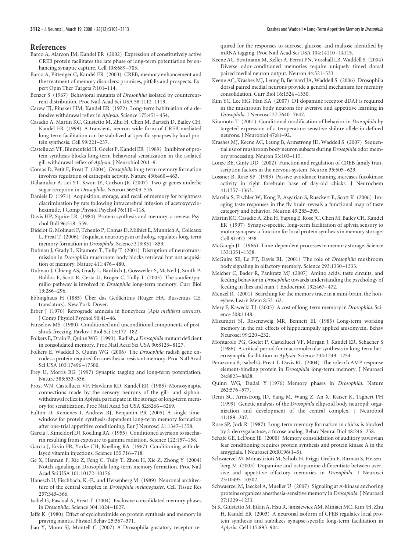#### **References**

- Barco A, Alarcon JM, Kandel ER (2002) Expression of constitutively active CREB protein facilitates the late phase of long-term potentiation by enhancing synaptic capture. Cell 108:689 –703.
- Barco A, Pittenger C, Kandel ER (2003) CREB, memory enhancement and the treatment of memory disorders: promises, pitfalls and prospects. Expert Opin Ther Targets 7:101–114.
- Benzer S (1967) Behavioral mutants of *Drosophila* isolated by countercurrent distribution. Proc Natl Acad Sci USA 58:1112–1119.
- Carew TJ, Pinsker HM, Kandel ER (1972) Long-term habituation of a defensive withdrawal reflex in *Aplysia*. Science 175:451–454.
- Casadio A, Martin KC, Giustetto M, Zhu H, Chen M, Bartsch D, Bailey CH, Kandel ER (1999) A transient, neuron-wide form of CREB-mediated long-term facilitation can be stabilized at specific synapses by local protein synthesis. Cell 99:221–237.
- Castellucci VF, Blumenfeld H, Goelet P, Kandel ER (1989) Inhibitor of protein synthesis blocks long-term behavioral sensitization in the isolated gill-withdrawal reflex of *Aplysia*. J Neurobiol 20:1–9.
- Comas D, Petit F, Preat T (2004) *Drosophila* long-term memory formation involves regulation of cathepsin activity. Nature 430:460 –463.
- Dahanukar A, Lei YT, Kwon JY, Carlson JR (2007) Two gr genes underlie sugar reception in *Drosophila*. Neuron 56:503–516.
- Daniels D (1971) Acquisition, storage, and recall of memory for brightness discrimination by rats following intracerebral infusion of acetoxycycloheximide. J Comp Physiol Psychol 76:110-118.
- Davis HP, Squire LR (1984) Protein synthesis and memory: a review. Psychol Bull 96:518 –559.
- Didelot G, Molinari F, Tchenio P, Comas D, Milhiet E, Munnich A, Colleaux L, Preat T (2006) Tequila, a neurotrypsin ortholog, regulates long-term memory formation in *Drosophila*. Science 313:851–853.
- Dubnau J, Grady L, Kitamoto T, Tully T (2001) Disruption of neurotransmission in *Drosophila* mushroom body blocks retrieval but not acquisition of memory. Nature 411:476 –480.
- Dubnau J, Chiang AS, Grady L, Barditch J, Gossweiler S, McNeil J, Smith P, Buldoc F, Scott R, Certa U, Broger C, Tully T (2003) The staufen/pumilio pathway is involved in *Drosophila* long-term memory. Curr Biol 13:286 –296.
- Ebbinghaus H (1885) Über das Gedächtnis (Ruger HA, Bussenius CE, translators). New York: Dover.
- Erber J (1976) Retrograde amnesia in honeybees (*Apis mellifera carnica*). J Comp Physiol Psychol 90:41–46.
- Fanselow MS (1980) Conditioned and unconditional components of postshock freezing. Pavlov J Biol Sci 15:177–182.
- Folkers E, Drain P, Quinn WG (1993) Radish, a *Drosophila* mutant deficient in consolidated memory. Proc Natl Acad Sci USA 90:8123–8127.
- Folkers E, Waddell S, Quinn WG (2006) The *Drosophila* radish gene encodes a protein required for anesthesia-resistant memory. Proc Natl Acad Sci USA 103:17496 –17500.
- Frey U, Morris RG (1997) Synaptic tagging and long-term potentiation. Nature 385:533–536.
- Frost WN, Castellucci VF, Hawkins RD, Kandel ER (1985) Monosynaptic connections made by the sensory neurons of the gill- and siphonwithdrawal reflex in Aplysia participate in the storage of long-term memory for sensitization. Proc Natl Acad Sci USA 82:8266 –8269.
- Fulton D, Kemenes I, Andrew RJ, Benjamin PR (2005) A single timewindow for protein synthesis-dependent long-term memory formation after one-trial appetitive conditioning. Eur J Neurosci 21:1347–1358.
- Garcia J, Kimeldorf DJ, Koelling RA (1955) Conditioned aversion to saccharin resulting from exposure to gamma radiation. Science 122:157–158.
- Garcia J, Ervin FR, Yorke CH, Koelling RA (1967) Conditioning with delayed vitamin injections. Science 155:716 –718.
- Ge X, Hannan F, Xie Z, Feng C, Tully T, Zhou H, Xie Z, Zhong Y (2004) Notch signaling in Drosophila long-term memory formation. Proc Natl Acad Sci USA 101:10172–10176.
- Hanesch U, Fischbach, K.-F., and Heisenberg M (1989) Neuronal architecture of the central complex in *Drosophila melanogaster*. Cell Tissue Res 257:343–366.
- Isabel G, Pascual A, Preat T (2004) Exclusive consolidated memory phases in *Drosophila*. Science 304:1024 –1027.
- Jaffe K (1980) Effect of cycloheximide on protein synthesis and memory in praying mantis. Physiol Behav 25:367–371.
- Jiao Y, Moon SJ, Montell C (2007) A Drosophila gustatory receptor re-

quired for the responses to sucrose, glucose, and maltose identified by mRNA tagging. Proc Natl Acad Sci USA 104:14110 –14115.

- Keene AC, Stratmann M, Keller A, Perrat PN, Vosshall LB, Waddell S (2004) Diverse odor-conditioned memories require uniquely timed dorsal paired medial neuron output. Neuron 44:521–533.
- Keene AC, Krashes MJ, Leung B, Bernard JA, Waddell S (2006) Drosophila dorsal paired medial neurons provide a general mechanism for memory consolidation. Curr Biol 16:1524 –1530.
- Kim YC, Lee HG, Han KA (2007) D1 dopamine receptor dDA1 is required in the mushroom body neurons for aversive and appetitive learning in *Drosophila*. J Neurosci 27:7640 –7647.
- Kitamoto T (2001) Conditional modification of behavior in *Drosophila* by targeted expression of a temperature-sensitive shibire allele in defined neurons. J Neurobiol 47:81–92.
- Krashes MJ, Keene AC, Leung B, Armstrong JD, Waddell S (2007) Sequential use of mushroom body neuron subsets during *Drosophila* odor memory processing. Neuron 53:103–115.
- Lonze BE, Ginty DD (2002) Function and regulation of CREB family transcription factors in the nervous system. Neuron 35:605–623.
- Lossner B, Rose SP (1983) Passive avoidance training increases fucokinase activity in right forebrain base of day-old chicks. J Neurochem 41:1357–1363.
- Marella S, Fischler W, Kong P, Asgarian S, Rueckert E, Scott K (2006) Imaging taste responses in the fly brain reveals a functional map of taste category and behavior. Neuron 49:285–295.
- Martin KC, Casadio A, Zhu H, Yaping E, Rose JC, Chen M, Bailey CH, Kandel ER (1997) Synapse-specific, long-term facilitation of aplysia sensory to motor synapses: a function for local protein synthesis in memory storage. Cell 91:927–938.
- McGaugh JL (1966) Time-dependent processes in memory storage. Science 153:1351–1358.
- McGuire SE, Le PT, Davis RL (2001) The role of *Drosophila* mushroom body signaling in olfactory memory. Science 293:1330 –1333.
- Melcher C, Bader R, Pankratz MJ (2007) Amino acids, taste circuits, and feeding behavior in *Drosophila*: towards understanding the psychology of feeding in flies and man. J Endocrinol 192:467–472.
- Menzel R. (2001) Searching for the memory trace in a mini-brain, the honeybee. Learn Mem 8:53–62.
- Mery F, Kawecki TJ (2005) A cost of long-term memory in *Drosophila*. Science 308:1148.
- Mizumori SJ, Rosenzweig MR, Bennett EL (1985) Long-term working memory in the rat: effects of hippocampally applied anisomycin. Behav Neurosci 99:220 –232.
- Montarolo PG, Goelet P, Castellucci VF, Morgan J, Kandel ER, Schacher S (1986) A critical period for macromolecular synthesis in long-term heterosynaptic facilitation in *Aplysia*. Science 234:1249 –1254.
- Perazzona B, Isabel G, Preat T, Davis RL (2004) The role of cAMP response element-binding protein in *Drosophila* long-term memory. J Neurosci 24:8823–8828.
- Quinn WG, Dudai Y (1976) Memory phases in *Drosophila*. Nature 262:576 –577.
- Renn SC, Armstrong JD, Yang M, Wang Z, An X, Kaiser K, Taghert PH (1999) Genetic analysis of the *Drosophila* ellipsoid body neuropil: organization and development of the central complex. J Neurobiol 41:189 –207.
- Rose SP, Jork R (1987) Long-term memory formation in chicks is blocked by 2-deoxygalactose, a fucose analog. Behav Neural Biol 48:246 –258.
- Schafe GE, LeDoux JE (2000) Memory consolidation of auditory pavlovian fear conditioning requires protein synthesis and protein kinase A in the amygdala. J Neurosci 20:RC96(1–5).
- Schwaerzel M, Monastirioti M, Scholz H, Friggi-Grelin F, Birman S, Heisenberg M (2003) Dopamine and octopamine differentiate between aversive and appetitive olfactory memories in *Drosophila*. J Neurosci 23:10495–10502.
- Schwaerzel M, Jaeckel A, Mueller U (2007) Signaling at A-kinase anchoring proteins organizes anesthesia-sensitive memory in *Drosophila*. J Neurosci 27:1229 –1233.
- Si K, Giustetto M, Etkin A, Hsu R, Janisiewicz AM, Miniaci MC, Kim JH, Zhu H, Kandel ER (2003) A neuronal isoform of CPEB regulates local protein synthesis and stabilizes synapse-specific long-term facilitation in *Aplysia*. Cell 115:893–904.